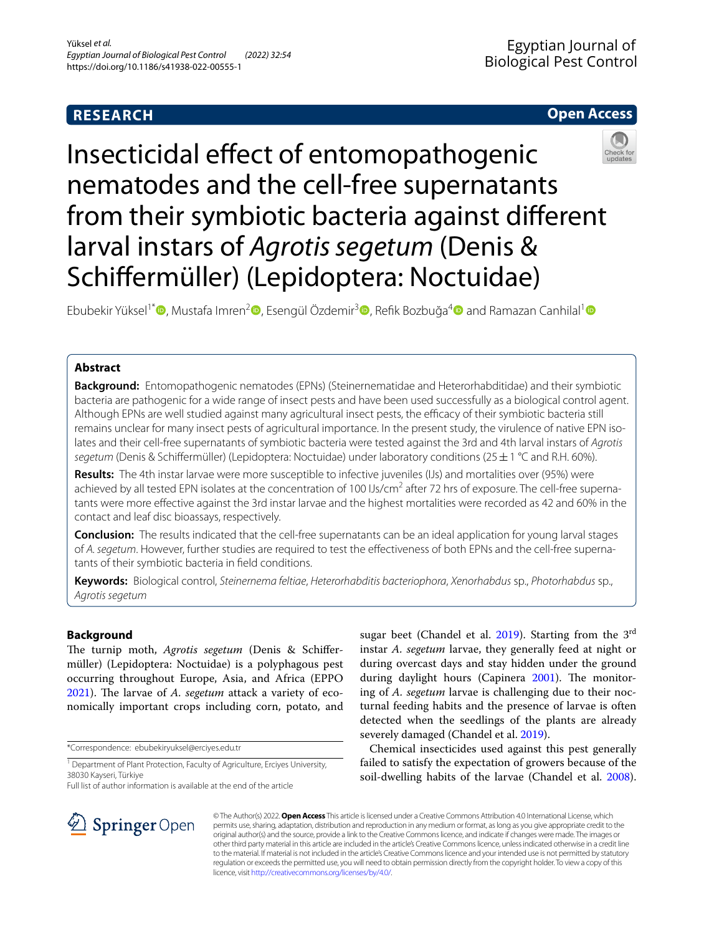# **RESEARCH**

## **Open Access**



Insecticidal effect of entomopathogenic nematodes and the cell-free supernatants from their symbiotic bacteria against diferent larval instars of *Agrotis segetum* (Denis & Schifermüller) (Lepidoptera: Noctuidae)

Ebubekir Yüksel<sup>1[\\*](http://orcid.org/0000-0002-6982-5874)</sup> , Mustafa Imren<sup>[2](http://orcid.org/0000-0002-7217-9092)</sup> , Esengül Özdemir<sup>[3](http://orcid.org/0000-0002-8274-282X)</sup> , Refik Bozbuğa<sup>4</sup> and Ramazan Canhilal<sup>1</sup> and Ramazan Canhilal<sup>1</sup>

## **Abstract**

**Background:** Entomopathogenic nematodes (EPNs) (Steinernematidae and Heterorhabditidae) and their symbiotic bacteria are pathogenic for a wide range of insect pests and have been used successfully as a biological control agent. Although EPNs are well studied against many agricultural insect pests, the efficacy of their symbiotic bacteria still remains unclear for many insect pests of agricultural importance. In the present study, the virulence of native EPN isolates and their cell-free supernatants of symbiotic bacteria were tested against the 3rd and 4th larval instars of *Agrotis segetum* (Denis & Schifermüller) (Lepidoptera: Noctuidae) under laboratory conditions (25±1 °C and R.H. 60%).

**Results:** The 4th instar larvae were more susceptible to infective juveniles (IJs) and mortalities over (95%) were achieved by all tested EPN isolates at the concentration of 100 IJs/cm<sup>2</sup> after 72 hrs of exposure. The cell-free supernatants were more efective against the 3rd instar larvae and the highest mortalities were recorded as 42 and 60% in the contact and leaf disc bioassays, respectively.

**Conclusion:** The results indicated that the cell-free supernatants can be an ideal application for young larval stages of *A. segetum*. However, further studies are required to test the efectiveness of both EPNs and the cell-free supernatants of their symbiotic bacteria in feld conditions.

**Keywords:** Biological control, *Steinernema feltiae*, *Heterorhabditis bacteriophora*, *Xenorhabdus* sp., *Photorhabdus* sp., *Agrotis segetum*

## **Background**

The turnip moth, *Agrotis segetum* (Denis & Schiffermüller) (Lepidoptera: Noctuidae) is a polyphagous pest occurring throughout Europe, Asia, and Africa (EPPO [2021](#page-6-0)). The larvae of *A. segetum* attack a variety of economically important crops including corn, potato, and

\*Correspondence: ebubekiryuksel@erciyes.edu.tr

Full list of author information is available at the end of the article



Chemical insecticides used against this pest generally failed to satisfy the expectation of growers because of the soil-dwelling habits of the larvae (Chandel et al. [2008](#page-6-3)).



© The Author(s) 2022. **Open Access** This article is licensed under a Creative Commons Attribution 4.0 International License, which permits use, sharing, adaptation, distribution and reproduction in any medium or format, as long as you give appropriate credit to the original author(s) and the source, provide a link to the Creative Commons licence, and indicate if changes were made. The images or other third party material in this article are included in the article's Creative Commons licence, unless indicated otherwise in a credit line to the material. If material is not included in the article's Creative Commons licence and your intended use is not permitted by statutory regulation or exceeds the permitted use, you will need to obtain permission directly from the copyright holder. To view a copy of this licence, visit [http://creativecommons.org/licenses/by/4.0/.](http://creativecommons.org/licenses/by/4.0/)

<sup>&</sup>lt;sup>1</sup> Department of Plant Protection, Faculty of Agriculture, Erciyes University, 38030 Kayseri, Türkiye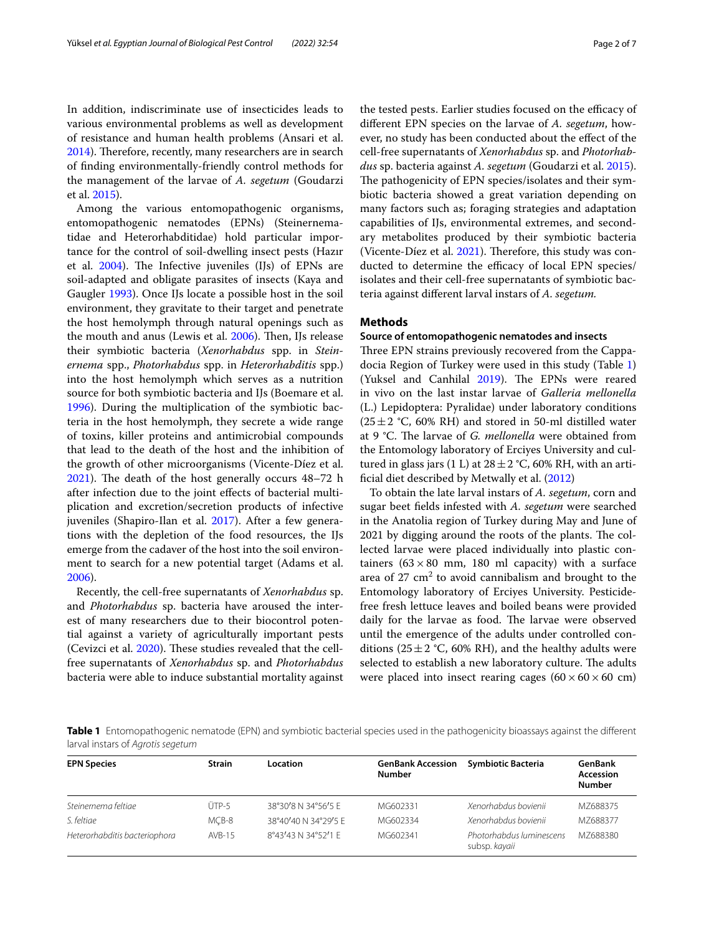In addition, indiscriminate use of insecticides leads to various environmental problems as well as development of resistance and human health problems (Ansari et al. [2014](#page-6-4)). Therefore, recently, many researchers are in search of fnding environmentally-friendly control methods for the management of the larvae of *A. segetum* (Goudarzi et al. [2015\)](#page-6-5).

Among the various entomopathogenic organisms, entomopathogenic nematodes (EPNs) (Steinernematidae and Heterorhabditidae) hold particular importance for the control of soil-dwelling insect pests (Hazır et al.  $2004$ ). The Infective juveniles (IJs) of EPNs are soil-adapted and obligate parasites of insects (Kaya and Gaugler [1993\)](#page-6-7). Once IJs locate a possible host in the soil environment, they gravitate to their target and penetrate the host hemolymph through natural openings such as the mouth and anus (Lewis et al. [2006](#page-6-8)). Then, IJs release their symbiotic bacteria (*Xenorhabdus* spp. in *Steinernema* spp., *Photorhabdus* spp. in *Heterorhabditis* spp.) into the host hemolymph which serves as a nutrition source for both symbiotic bacteria and IJs (Boemare et al. [1996](#page-6-9)). During the multiplication of the symbiotic bacteria in the host hemolymph, they secrete a wide range of toxins, killer proteins and antimicrobial compounds that lead to the death of the host and the inhibition of the growth of other microorganisms (Vicente-Díez et al.  $2021$ ). The death of the host generally occurs  $48-72$  h after infection due to the joint efects of bacterial multiplication and excretion/secretion products of infective juveniles (Shapiro-Ilan et al. [2017\)](#page-6-11). After a few generations with the depletion of the food resources, the IJs emerge from the cadaver of the host into the soil environment to search for a new potential target (Adams et al. [2006](#page-6-12)).

Recently, the cell-free supernatants of *Xenorhabdus* sp. and *Photorhabdus* sp. bacteria have aroused the interest of many researchers due to their biocontrol potential against a variety of agriculturally important pests (Cevizci et al. [2020](#page-6-13)). These studies revealed that the cellfree supernatants of *Xenorhabdus* sp. and *Photorhabdus* bacteria were able to induce substantial mortality against the tested pests. Earlier studies focused on the efficacy of diferent EPN species on the larvae of *A. segetum*, however, no study has been conducted about the efect of the cell-free supernatants of *Xenorhabdus* sp. and *Photorhabdus* sp. bacteria against *A. segetum* (Goudarzi et al. [2015](#page-6-5)). The pathogenicity of EPN species/isolates and their symbiotic bacteria showed a great variation depending on many factors such as; foraging strategies and adaptation capabilities of IJs, environmental extremes, and secondary metabolites produced by their symbiotic bacteria (Vicente-Díez et al.  $2021$ ). Therefore, this study was conducted to determine the efficacy of local EPN species/ isolates and their cell-free supernatants of symbiotic bacteria against diferent larval instars of *A. segetum.*

### **Methods**

#### **Source of entomopathogenic nematodes and insects**

Three EPN strains previously recovered from the Cappadocia Region of Turkey were used in this study (Table [1](#page-1-0)) (Yuksel and Canhilal [2019\)](#page-6-14). The EPNs were reared in vivo on the last instar larvae of *Galleria mellonella* (L.) Lepidoptera: Pyralidae) under laboratory conditions  $(25\pm2$  °C, 60% RH) and stored in 50-ml distilled water at 9 °C. The larvae of *G. mellonella* were obtained from the Entomology laboratory of Erciyes University and cultured in glass jars (1 L) at  $28 \pm 2$  °C, 60% RH, with an artifcial diet described by Metwally et al. ([2012](#page-6-15))

To obtain the late larval instars of *A. segetum*, corn and sugar beet felds infested with *A. segetum* were searched in the Anatolia region of Turkey during May and June of 2021 by digging around the roots of the plants. The collected larvae were placed individually into plastic containers ( $63 \times 80$  mm, 180 ml capacity) with a surface area of  $27 \text{ cm}^2$  to avoid cannibalism and brought to the Entomology laboratory of Erciyes University. Pesticidefree fresh lettuce leaves and boiled beans were provided daily for the larvae as food. The larvae were observed until the emergence of the adults under controlled conditions ( $25 \pm 2$  °C, 60% RH), and the healthy adults were selected to establish a new laboratory culture. The adults were placed into insect rearing cages  $(60 \times 60 \times 60 \text{ cm})$ 

<span id="page-1-0"></span>**Table 1** Entomopathogenic nematode (EPN) and symbiotic bacterial species used in the pathogenicity bioassays against the different larval instars of *Agrotis segetum*

| <b>EPN Species</b>            | <b>Strain</b> | Location             | <b>GenBank Accession</b><br><b>Number</b> | <b>Symbiotic Bacteria</b>                 | GenBank<br>Accession<br><b>Number</b> |
|-------------------------------|---------------|----------------------|-------------------------------------------|-------------------------------------------|---------------------------------------|
| Steinernema feltiae           | $(TP-5)$      | 38°30'8 N 34°56'5 F  | MG602331                                  | Xenorhabdus bovienii                      | MZ688375                              |
| S. feltiae                    | MCB-8         | 38°40'40 N 34°29'5 F | MG602334                                  | Xenorhabdus bovienii                      | M7688377                              |
| Heterorhabditis bacteriophora | $AVB-15$      | 8°43'43 N 34°52'1 F  | MG602341                                  | Photorhabdus luminescens<br>subsp. kayaii | M7688380                              |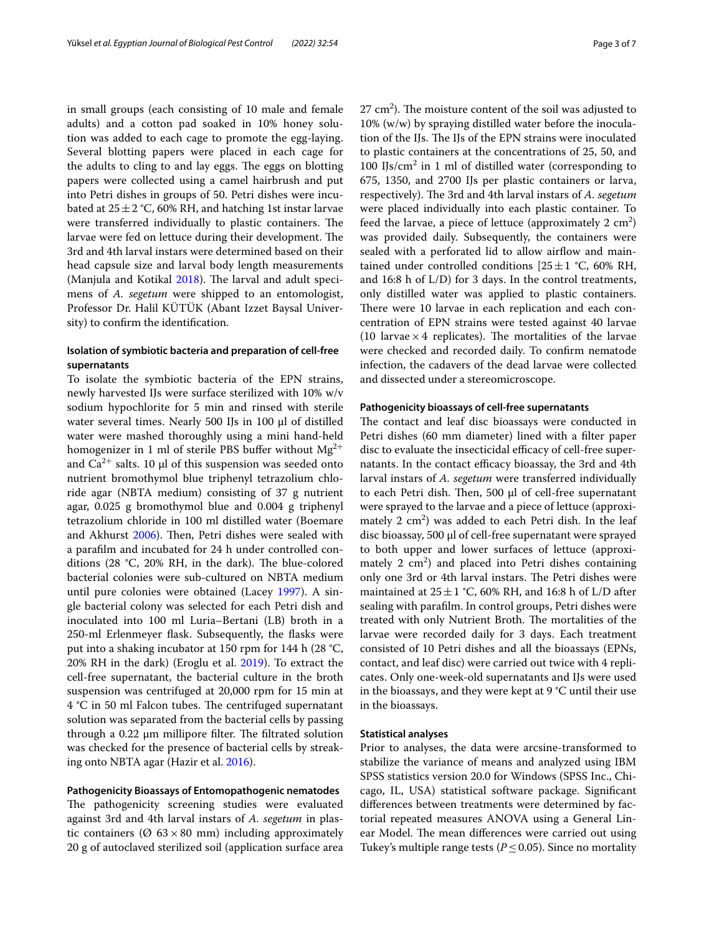in small groups (each consisting of 10 male and female adults) and a cotton pad soaked in 10% honey solution was added to each cage to promote the egg-laying. Several blotting papers were placed in each cage for the adults to cling to and lay eggs. The eggs on blotting papers were collected using a camel hairbrush and put into Petri dishes in groups of 50. Petri dishes were incubated at  $25 \pm 2$  °C, 60% RH, and hatching 1st instar larvae were transferred individually to plastic containers. The larvae were fed on lettuce during their development. The 3rd and 4th larval instars were determined based on their head capsule size and larval body length measurements (Manjula and Kotikal  $2018$ ). The larval and adult specimens of *A. segetum* were shipped to an entomologist, Professor Dr. Halil KÜTÜK (Abant Izzet Baysal University) to confrm the identifcation.

## **Isolation of symbiotic bacteria and preparation of cell‑free supernatants**

To isolate the symbiotic bacteria of the EPN strains, newly harvested IJs were surface sterilized with 10% w/v sodium hypochlorite for 5 min and rinsed with sterile water several times. Nearly 500 IJs in 100 μl of distilled water were mashed thoroughly using a mini hand-held homogenizer in 1 ml of sterile PBS buffer without  $Mg^{2+}$ and  $Ca^{2+}$  salts. 10 µl of this suspension was seeded onto nutrient bromothymol blue triphenyl tetrazolium chloride agar (NBTA medium) consisting of 37 g nutrient agar, 0.025 g bromothymol blue and 0.004 g triphenyl tetrazolium chloride in 100 ml distilled water (Boemare and Akhurst [2006](#page-6-17)). Then, Petri dishes were sealed with a paraflm and incubated for 24 h under controlled conditions  $(28 \text{ °C}, 20\% \text{ RH}, \text{ in the dark})$ . The blue-colored bacterial colonies were sub-cultured on NBTA medium until pure colonies were obtained (Lacey [1997\)](#page-6-18). A single bacterial colony was selected for each Petri dish and inoculated into 100 ml Luria–Bertani (LB) broth in a 250-ml Erlenmeyer fask. Subsequently, the fasks were put into a shaking incubator at 150 rpm for 144 h (28 °C, 20% RH in the dark) (Eroglu et al. [2019](#page-6-19)). To extract the cell-free supernatant, the bacterial culture in the broth suspension was centrifuged at 20,000 rpm for 15 min at 4 °C in 50 ml Falcon tubes. The centrifuged supernatant solution was separated from the bacterial cells by passing through a  $0.22 \mu m$  millipore filter. The filtrated solution was checked for the presence of bacterial cells by streaking onto NBTA agar (Hazir et al. [2016](#page-6-20)).

### **Pathogenicity Bioassays of Entomopathogenic nematodes**

The pathogenicity screening studies were evaluated against 3rd and 4th larval instars of *A. segetum* in plastic containers ( $\varnothing$  63 × 80 mm) including approximately 20 g of autoclaved sterilized soil (application surface area

 $27 \text{ cm}^2$ ). The moisture content of the soil was adjusted to 10% (w/w) by spraying distilled water before the inoculation of the IJs. The IJs of the EPN strains were inoculated to plastic containers at the concentrations of 25, 50, and  $100$  IJs/cm<sup>2</sup> in 1 ml of distilled water (corresponding to 675, 1350, and 2700 IJs per plastic containers or larva, respectively). The 3rd and 4th larval instars of A. segetum were placed individually into each plastic container. To feed the larvae, a piece of lettuce (approximately  $2 \text{ cm}^2$ ) was provided daily. Subsequently, the containers were sealed with a perforated lid to allow airflow and maintained under controlled conditions  $[25 \pm 1 \degree C, 60\% \space RH,$ and 16:8 h of L/D) for 3 days. In the control treatments, only distilled water was applied to plastic containers. There were 10 larvae in each replication and each concentration of EPN strains were tested against 40 larvae (10 larvae  $\times$  4 replicates). The mortalities of the larvae were checked and recorded daily. To confrm nematode infection, the cadavers of the dead larvae were collected and dissected under a stereomicroscope.

#### **Pathogenicity bioassays of cell‑free supernatants**

The contact and leaf disc bioassays were conducted in Petri dishes (60 mm diameter) lined with a flter paper disc to evaluate the insecticidal efficacy of cell-free supernatants. In the contact efficacy bioassay, the 3rd and 4th larval instars of *A. segetum* were transferred individually to each Petri dish. Then, 500  $μ$ l of cell-free supernatant were sprayed to the larvae and a piece of lettuce (approximately  $2 \text{ cm}^2$ ) was added to each Petri dish. In the leaf disc bioassay, 500 μl of cell-free supernatant were sprayed to both upper and lower surfaces of lettuce (approximately  $2 \text{ cm}^2$ ) and placed into Petri dishes containing only one 3rd or 4th larval instars. The Petri dishes were maintained at  $25 \pm 1$  °C, 60% RH, and 16:8 h of L/D after sealing with paraflm. In control groups, Petri dishes were treated with only Nutrient Broth. The mortalities of the larvae were recorded daily for 3 days. Each treatment consisted of 10 Petri dishes and all the bioassays (EPNs, contact, and leaf disc) were carried out twice with 4 replicates. Only one-week-old supernatants and IJs were used in the bioassays, and they were kept at 9 °C until their use in the bioassays.

#### **Statistical analyses**

Prior to analyses, the data were arcsine-transformed to stabilize the variance of means and analyzed using IBM SPSS statistics version 20.0 for Windows (SPSS Inc., Chicago, IL, USA) statistical software package. Signifcant diferences between treatments were determined by factorial repeated measures ANOVA using a General Linear Model. The mean differences were carried out using Tukey's multiple range tests ( $P \leq 0.05$ ). Since no mortality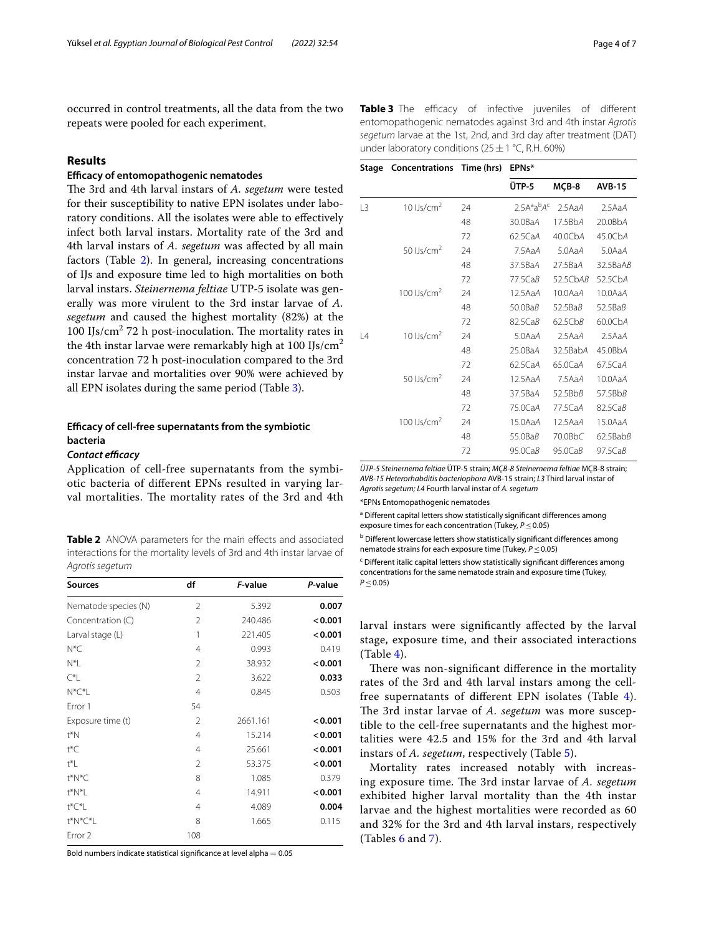occurred in control treatments, all the data from the two repeats were pooled for each experiment.

## **Results**

## **Efcacy of entomopathogenic nematodes**

The 3rd and 4th larval instars of *A. segetum* were tested for their susceptibility to native EPN isolates under laboratory conditions. All the isolates were able to efectively infect both larval instars. Mortality rate of the 3rd and 4th larval instars of *A. segetum* was afected by all main factors (Table [2\)](#page-3-0). In general, increasing concentrations of IJs and exposure time led to high mortalities on both larval instars. *Steinernema feltiae* UTP-5 isolate was generally was more virulent to the 3rd instar larvae of *A. segetum* and caused the highest mortality (82%) at the 100 IJs/ $\text{cm}^2$  72 h post-inoculation. The mortality rates in the 4th instar larvae were remarkably high at 100 IJs/ $\text{cm}^2$ concentration 72 h post-inoculation compared to the 3rd instar larvae and mortalities over 90% were achieved by all EPN isolates during the same period (Table [3](#page-3-1)).

## **Efcacy of cell‑free supernatants from the symbiotic bacteria**

### **Contact efficacy**

Application of cell-free supernatants from the symbiotic bacteria of diferent EPNs resulted in varying larval mortalities. The mortality rates of the 3rd and 4th

<span id="page-3-0"></span>**Table 2** ANOVA parameters for the main effects and associated interactions for the mortality levels of 3rd and 4th instar larvae of *Agrotis segetum*

| <b>Sources</b>       | df             | F-value  | P-value |
|----------------------|----------------|----------|---------|
| Nematode species (N) | 2              | 5.392    | 0.007   |
| Concentration (C)    | 2              | 240.486  | < 0.001 |
| Larval stage (L)     | 1              | 221.405  | < 0.001 |
| $N^*C$               | 4              | 0.993    | 0.419   |
| N*L                  | 2              | 38.932   | < 0.001 |
| C*L                  | $\mathfrak{D}$ | 3.622    | 0.033   |
| $N^*C^*L$            | 4              | 0.845    | 0.503   |
| Error 1              | 54             |          |         |
| Exposure time (t)    | $\mathfrak{D}$ | 2661.161 | < 0.001 |
| t*N                  | 4              | 15.214   | < 0.001 |
| t*C                  | $\overline{4}$ | 25.661   | < 0.001 |
| t*L                  | $\mathfrak{D}$ | 53.375   | < 0.001 |
| t*N*C                | 8              | 1.085    | 0.379   |
| t*N*L                | 4              | 14.911   | < 0.001 |
| t*C*L                | 4              | 4.089    | 0.004   |
| t*N*C*L              | 8              | 1.665    | 0.115   |
| Error <sub>2</sub>   | 108            |          |         |

Bold numbers indicate statistical significance at level alpha  $= 0.05$ 

<span id="page-3-1"></span>**Table 3** The efficacy of infective juveniles of different entomopathogenic nematodes against 3rd and 4th instar *Agrotis segetum* larvae at the 1st, 2nd, and 3rd day after treatment (DAT) under laboratory conditions (25  $\pm$  1 °C, R.H. 60%)

|    | Stage Concentrations Time (hrs) |    | EPN <sub>s</sub> * |          |                |
|----|---------------------------------|----|--------------------|----------|----------------|
|    |                                 |    | ÜTP-5              | MCB-8    | <b>AVB-15</b>  |
| L3 | 10 $Us/cm2$                     | 24 | $2.5A^a a^b A^c$   | 2.5AaA   | 2.5AaA         |
|    |                                 | 48 | 30.0BaA            | 17.5BbA  | 20.0BbA        |
|    |                                 | 72 | 62.5CaA            | 40.0CbA  | 45.0CbA        |
|    | 50 $Us/cm2$                     | 24 | 7.5AaA             | 5.0AaA   | 5.0AaA         |
|    |                                 | 48 | 37.5BaA            | 27.5BaA  | 32.5BaAB       |
|    |                                 | 72 | 77.5CaB            | 52.5CbAB | 52.5CbA        |
|    | 100 $Us/cm2$                    | 24 | 12.5 AaA           | 10.0AaA  | 10.0AaA        |
|    |                                 | 48 | $50.0$ Ba $B$      | 52.5BaB  | 52.5BaB        |
|    |                                 | 72 | 82.5CaB            | 62.5CbB  | 60.0CbA        |
| L4 | 10 $Us/cm2$                     | 24 | 5.0AaA             | 2.5AaA   | 2.5AaA         |
|    |                                 | 48 | 25.0BaA            | 32.5BabA | 45.0BbA        |
|    |                                 | 72 | 62.5CaA            | 65.0CaA  | 67.5CaA        |
|    | 50 $Us/cm2$                     | 24 | 12.5AaA            | 7.5AaA   | 10.0AaA        |
|    |                                 | 48 | 37.5BaA            | 52.5BbB  | 57.5BbB        |
|    |                                 | 72 | 75.0CaA            | 77.5CaA  | 82.5CaB        |
|    | 100 $Us/cm2$                    | 24 | 15.0AaA            | 12.5AaA  | 15.0AaA        |
|    |                                 | 48 | 55.0BaB            | 70.0BbC  | $62.5$ Bab $B$ |
|    |                                 | 72 | 95.0CaB            | 95.0CaB  | 97.5CaB        |
|    |                                 |    |                    |          |                |

*ÜTP-5 Steinernema feltiae* ÜTP-5 strain; *MÇB-8 Steinernema feltiae* MÇB-8 strain; *AVB-15 Heterorhabditis bacteriophora* AVB-15 strain; *L3* Third larval instar of *Agrotis segetum; L4* Fourth larval instar of *A. segetum*

\*EPNs Entomopathogenic nematodes

<sup>a</sup> Different capital letters show statistically significant differences among exposure times for each concentration (Tukey*, P*≤0.05)

**b** Different lowercase letters show statistically significant differences among nematode strains for each exposure time (Tukey*, P*≤0.05)

<sup>c</sup> Different italic capital letters show statistically significant differences among concentrations for the same nematode strain and exposure time (Tukey*, P* ≤ 0.05)

larval instars were signifcantly afected by the larval stage, exposure time, and their associated interactions  $(Table 4)$  $(Table 4)$ .

There was non-significant difference in the mortality rates of the 3rd and 4th larval instars among the cellfree supernatants of diferent EPN isolates (Table [4](#page-4-0)). The 3rd instar larvae of *A. segetum* was more susceptible to the cell-free supernatants and the highest mortalities were 42.5 and 15% for the 3rd and 4th larval instars of *A. segetum*, respectively (Table [5\)](#page-4-1).

Mortality rates increased notably with increasing exposure time. The 3rd instar larvae of A. segetum exhibited higher larval mortality than the 4th instar larvae and the highest mortalities were recorded as 60 and 32% for the 3rd and 4th larval instars, respectively (Tables [6](#page-4-2) and [7](#page-4-3)).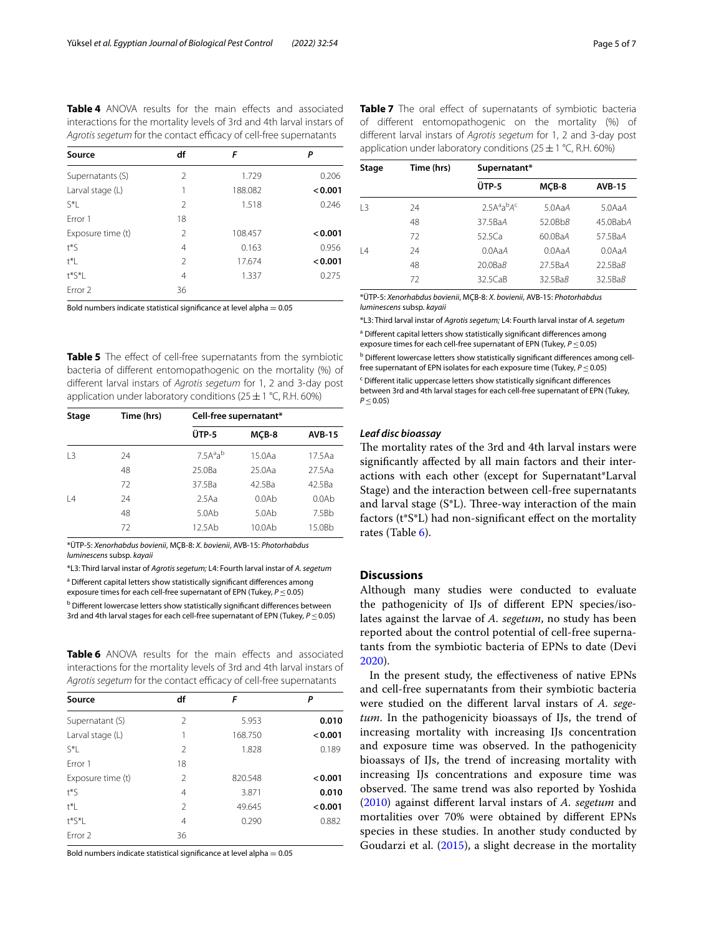<span id="page-4-0"></span>**Table 4** ANOVA results for the main effects and associated interactions for the mortality levels of 3rd and 4th larval instars of Agrotis segetum for the contact efficacy of cell-free supernatants

| Source             | df             | F       | Ρ       |
|--------------------|----------------|---------|---------|
| Supernatants (S)   | $\mathcal{P}$  | 1.729   | 0.206   |
| Larval stage (L)   | 1              | 188.082 | < 0.001 |
| S*L                | 2              | 1.518   | 0.246   |
| Frror 1            | 18             |         |         |
| Exposure time (t)  | $\mathcal{P}$  | 108.457 | < 0.001 |
| $t * S$            | 4              | 0.163   | 0.956   |
| t*L                | $\mathfrak{D}$ | 17.674  | < 0.001 |
| $t^*S^*$ l         | 4              | 1.337   | 0.275   |
| Frror <sub>2</sub> | 36             |         |         |

Bold numbers indicate statistical significance at level alpha  $= 0.05$ 

<span id="page-4-1"></span>**Table 5** The effect of cell-free supernatants from the symbiotic bacteria of diferent entomopathogenic on the mortality (%) of diferent larval instars of *Agrotis segetum* for 1, 2 and 3-day post application under laboratory conditions ( $25 \pm 1$  °C, R.H. 60%)

| Stage          | Time (hrs) | Cell-free supernatant*           |           |               |  |
|----------------|------------|----------------------------------|-----------|---------------|--|
|                |            | ÜTP-5                            | MCB-8     | <b>AVB-15</b> |  |
| L <sub>3</sub> | 24         | 7.5A <sup>a</sup> a <sup>b</sup> | 15.0Aa    | 17.5Aa        |  |
|                | 48         | 25.0Ba                           | $25.0$ Aa | 27.5Aa        |  |
|                | 72         | 37.5Ba                           | 42.5Ba    | 42.5Ba        |  |
| 4              | 24         | 2.5Aa                            | 0.0Ab     | 0.0Ab         |  |
|                | 48         | 5.0Ab                            | 5.0Ab     | 7.5Bb         |  |
|                | 72         | 12.5Ab                           | 10.0Ab    | 15.0Bb        |  |

\*ÜTP-5: *Xenorhabdus bovienii*, MÇB-8: *X. bovienii*, AVB-15: *Photorhabdus luminescens* subsp. *kayaii*

\*L3: Third larval instar of *Agrotis segetum;* L4: Fourth larval instar of *A. segetum* <sup>a</sup> Different capital letters show statistically significant differences among

exposure times for each cell-free supernatant of EPN (Tukey*, P*≤0.05)

**b** Different lowercase letters show statistically significant differences between 3rd and 4th larval stages for each cell-free supernatant of EPN (Tukey*, P*≤0.05)

<span id="page-4-2"></span>**Table 6** ANOVA results for the main effects and associated interactions for the mortality levels of 3rd and 4th larval instars of Agrotis segetum for the contact efficacy of cell-free supernatants

| Source             | df             | F       | Ρ       |
|--------------------|----------------|---------|---------|
| Supernatant (S)    | $\mathcal{P}$  | 5.953   | 0.010   |
| Larval stage (L)   | 1              | 168.750 | < 0.001 |
| $S^*$              | $\overline{2}$ | 1.828   | 0.189   |
| Frror 1            | 18             |         |         |
| Exposure time (t)  | $\overline{2}$ | 820.548 | < 0.001 |
| $t^*\mathsf{S}$    | 4              | 3.871   | 0.010   |
| $\uparrow^*$       | $\mathfrak{D}$ | 49.645  | < 0.001 |
| $t^*S^*$ l         | 4              | 0.290   | 0.882   |
| Frror <sub>2</sub> | 36             |         |         |

Bold numbers indicate statistical significance at level alpha  $= 0.05$ 

<span id="page-4-3"></span>**Table 7** The oral effect of supernatants of symbiotic bacteria of diferent entomopathogenic on the mortality (%) of diferent larval instars of *Agrotis segetum* for 1, 2 and 3-day post application under laboratory conditions ( $25 \pm 1$  °C, R.H. 60%)

| Stage     | Time (hrs) | Supernatant*   |                     |                     |  |
|-----------|------------|----------------|---------------------|---------------------|--|
|           |            | ÜTP-5          | MCB-8               | <b>AVB-15</b>       |  |
| 13        | 24         | $2.5A^aA^bA^c$ | 5.0A <sub>a</sub> A | 5.0A <sub>a</sub> A |  |
|           | 48         | 37.5BaA        | $52.0$ Bb $B$       | 45.0BabA            |  |
|           | 72         | 52.5Ca         | 60.0BaA             | 57.5BaA             |  |
| $\vert 4$ | 24         | $0.0A$ a $A$   | $0.0A$ a $A$        | $0.0A$ a $A$        |  |
|           | 48         | $20.0$ Ba $B$  | 27.5BaA             | 22.5BaB             |  |
|           | 72         | $32.5C$ aB     | 32.5BaB             | $32.5$ Ba $B$       |  |
|           |            |                |                     |                     |  |

\*ÜTP-5: *Xenorhabdus bovienii*, MÇB-8: *X. bovienii*, AVB-15: *Photorhabdus luminescens* subsp. *kayaii*

\*L3: Third larval instar of *Agrotis segetum;* L4: Fourth larval instar of *A. segetum* <sup>a</sup> Different capital letters show statistically significant differences among

exposure times for each cell-free supernatant of EPN (Tukey, *P* ≤ 0.05)

**b** Different lowercase letters show statistically significant differences among cellfree supernatant of EPN isolates for each exposure time (Tukey*, P*≤0.05)

<sup>c</sup> Different italic uppercase letters show statistically significant differences between 3rd and 4th larval stages for each cell-free supernatant of EPN (Tukey*, P* ≤ 0.05)

### *Leaf disc bioassay*

The mortality rates of the 3rd and 4th larval instars were signifcantly afected by all main factors and their interactions with each other (except for Supernatant\*Larval Stage) and the interaction between cell-free supernatants and larval stage  $(S^*L)$ . Three-way interaction of the main factors (t\*S\*L) had non-signifcant efect on the mortality rates (Table [6](#page-4-2)).

#### **Discussions**

Although many studies were conducted to evaluate the pathogenicity of IJs of diferent EPN species/isolates against the larvae of *A. segetum*, no study has been reported about the control potential of cell-free supernatants from the symbiotic bacteria of EPNs to date (Devi [2020](#page-6-21)).

In the present study, the efectiveness of native EPNs and cell-free supernatants from their symbiotic bacteria were studied on the diferent larval instars of *A. segetum*. In the pathogenicity bioassays of IJs, the trend of increasing mortality with increasing IJs concentration and exposure time was observed. In the pathogenicity bioassays of IJs, the trend of increasing mortality with increasing IJs concentrations and exposure time was observed. The same trend was also reported by Yoshida ([2010\)](#page-6-22) against diferent larval instars of *A. segetum* and mortalities over 70% were obtained by diferent EPNs species in these studies. In another study conducted by Goudarzi et al. [\(2015\)](#page-6-5), a slight decrease in the mortality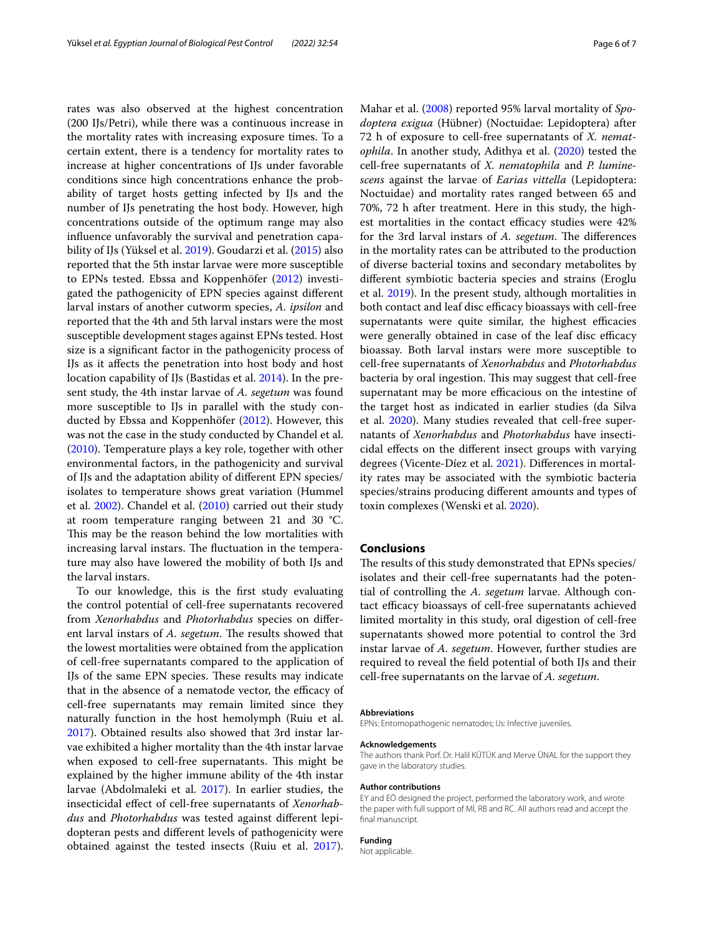rates was also observed at the highest concentration (200 IJs/Petri), while there was a continuous increase in the mortality rates with increasing exposure times. To a certain extent, there is a tendency for mortality rates to increase at higher concentrations of IJs under favorable conditions since high concentrations enhance the probability of target hosts getting infected by IJs and the number of IJs penetrating the host body. However, high concentrations outside of the optimum range may also infuence unfavorably the survival and penetration capability of IJs (Yüksel et al. [2019](#page-6-23)). Goudarzi et al. [\(2015](#page-6-5)) also reported that the 5th instar larvae were more susceptible to EPNs tested. Ebssa and Koppenhöfer [\(2012](#page-6-24)) investigated the pathogenicity of EPN species against diferent larval instars of another cutworm species, *A. ipsilon* and reported that the 4th and 5th larval instars were the most susceptible development stages against EPNs tested. Host size is a signifcant factor in the pathogenicity process of IJs as it afects the penetration into host body and host location capability of IJs (Bastidas et al. [2014\)](#page-6-25). In the present study, the 4th instar larvae of *A. segetum* was found more susceptible to IJs in parallel with the study conducted by Ebssa and Koppenhöfer ([2012](#page-6-24)). However, this was not the case in the study conducted by Chandel et al. ([2010\)](#page-6-26). Temperature plays a key role, together with other environmental factors, in the pathogenicity and survival of IJs and the adaptation ability of diferent EPN species/ isolates to temperature shows great variation (Hummel et al. [2002](#page-6-27)). Chandel et al. [\(2010](#page-6-26)) carried out their study at room temperature ranging between 21 and 30 °C. This may be the reason behind the low mortalities with increasing larval instars. The fluctuation in the temperature may also have lowered the mobility of both IJs and the larval instars.

To our knowledge, this is the frst study evaluating the control potential of cell-free supernatants recovered from *Xenorhabdus* and *Photorhabdus* species on diferent larval instars of *A. segetum*. The results showed that the lowest mortalities were obtained from the application of cell-free supernatants compared to the application of IJs of the same EPN species. These results may indicate that in the absence of a nematode vector, the efficacy of cell-free supernatants may remain limited since they naturally function in the host hemolymph (Ruiu et al. [2017](#page-6-28)). Obtained results also showed that 3rd instar larvae exhibited a higher mortality than the 4th instar larvae when exposed to cell-free supernatants. This might be explained by the higher immune ability of the 4th instar larvae (Abdolmaleki et al. [2017\)](#page-6-29). In earlier studies, the insecticidal efect of cell-free supernatants of *Xenorhabdus* and *Photorhabdus* was tested against diferent lepidopteran pests and diferent levels of pathogenicity were obtained against the tested insects (Ruiu et al. [2017](#page-6-28)). Mahar et al. [\(2008\)](#page-6-30) reported 95% larval mortality of *Spodoptera exigua* (Hübner) (Noctuidae: Lepidoptera) after 72 h of exposure to cell-free supernatants of *X. nematophila*. In another study, Adithya et al. ([2020](#page-6-31)) tested the cell-free supernatants of *X. nematophila* and *P. luminescens* against the larvae of *Earias vittella* (Lepidoptera: Noctuidae) and mortality rates ranged between 65 and 70%, 72 h after treatment. Here in this study, the highest mortalities in the contact efficacy studies were  $42\%$ for the 3rd larval instars of *A. segetum*. The differences in the mortality rates can be attributed to the production of diverse bacterial toxins and secondary metabolites by diferent symbiotic bacteria species and strains (Eroglu et al. [2019](#page-6-19)). In the present study, although mortalities in both contact and leaf disc efficacy bioassays with cell-free supernatants were quite similar, the highest efficacies were generally obtained in case of the leaf disc efficacy bioassay. Both larval instars were more susceptible to cell-free supernatants of *Xenorhabdus* and *Photorhabdus* bacteria by oral ingestion. This may suggest that cell-free supernatant may be more efficacious on the intestine of the target host as indicated in earlier studies (da Silva et al. [2020\)](#page-6-32). Many studies revealed that cell-free supernatants of *Xenorhabdus* and *Photorhabdus* have insecticidal efects on the diferent insect groups with varying degrees (Vicente-Díez et al. [2021\)](#page-6-10). Differences in mortality rates may be associated with the symbiotic bacteria species/strains producing diferent amounts and types of toxin complexes (Wenski et al. [2020\)](#page-6-33).

### **Conclusions**

The results of this study demonstrated that EPNs species/ isolates and their cell-free supernatants had the potential of controlling the *A. segetum* larvae. Although contact efficacy bioassays of cell-free supernatants achieved limited mortality in this study, oral digestion of cell-free supernatants showed more potential to control the 3rd instar larvae of *A. segetum*. However, further studies are required to reveal the feld potential of both IJs and their cell-free supernatants on the larvae of *A. segetum*.

#### **Abbreviations**

EPNs: Entomopathogenic nematodes; IJs: Infective juveniles.

#### **Acknowledgements**

The authors thank Porf. Dr. Halil KÜTÜK and Merve ÜNAL for the support they gave in the laboratory studies.

#### **Author contributions**

EY and EÖ designed the project, performed the laboratory work, and wrote the paper with full support of Mİ, RB and RC. All authors read and accept the fnal manuscript.

#### **Funding**

Not applicable.